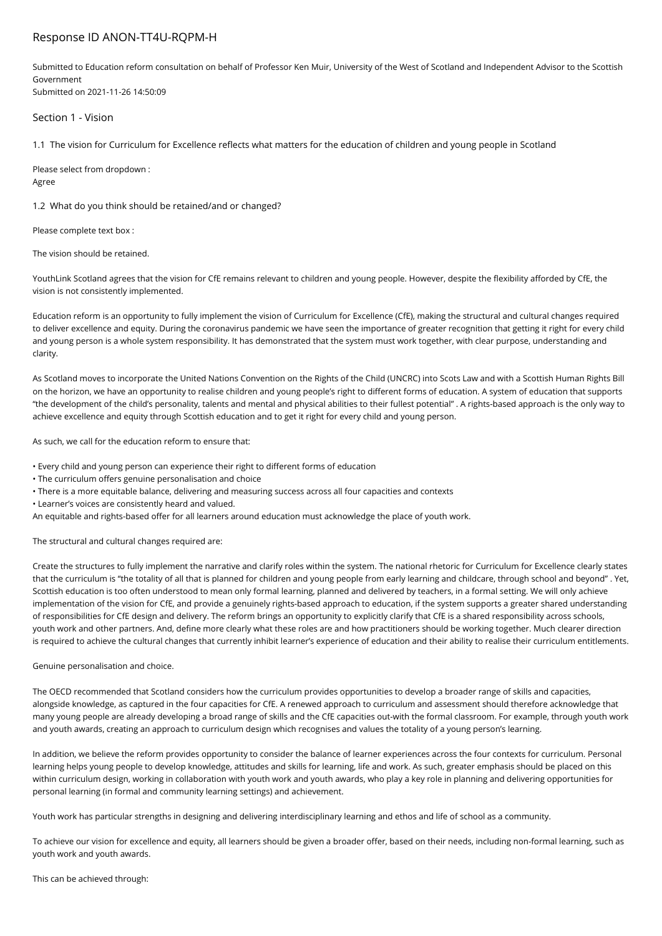# Response ID ANON-TT4U-RQPM-H

Submitted to Education reform consultation on behalf of Professor Ken Muir, University of the West of Scotland and Independent Advisor to the Scottish Government Submitted on 2021-11-26 14:50:09

Section 1 - Vision

1.1 The vision for Curriculum for Excellence reflects what matters for the education of children and young people in Scotland

Please select from dropdown : Agree

1.2 What do you think should be retained/and or changed?

Please complete text box :

The vision should be retained.

YouthLink Scotland agrees that the vision for CfE remains relevant to children and young people. However, despite the flexibility afforded by CfE, the vision is not consistently implemented.

Education reform is an opportunity to fully implement the vision of Curriculum for Excellence (CfE), making the structural and cultural changes required to deliver excellence and equity. During the coronavirus pandemic we have seen the importance of greater recognition that getting it right for every child and young person is a whole system responsibility. It has demonstrated that the system must work together, with clear purpose, understanding and clarity.

As Scotland moves to incorporate the United Nations Convention on the Rights of the Child (UNCRC) into Scots Law and with a Scottish Human Rights Bill on the horizon, we have an opportunity to realise children and young people's right to different forms of education. A system of education that supports "the development of the child's personality, talents and mental and physical abilities to their fullest potential" . A rights-based approach is the only way to achieve excellence and equity through Scottish education and to get it right for every child and young person.

As such, we call for the education reform to ensure that:

• Every child and young person can experience their right to different forms of education

- The curriculum offers genuine personalisation and choice
- There is a more equitable balance, delivering and measuring success across all four capacities and contexts
- Learner's voices are consistently heard and valued.

An equitable and rights-based offer for all learners around education must acknowledge the place of youth work.

The structural and cultural changes required are:

Create the structures to fully implement the narrative and clarify roles within the system. The national rhetoric for Curriculum for Excellence clearly states that the curriculum is "the totality of all that is planned for children and young people from early learning and childcare, through school and beyond" . Yet, Scottish education is too often understood to mean only formal learning, planned and delivered by teachers, in a formal setting. We will only achieve implementation of the vision for CfE, and provide a genuinely rights-based approach to education, if the system supports a greater shared understanding of responsibilities for CfE design and delivery. The reform brings an opportunity to explicitly clarify that CfE is a shared responsibility across schools, youth work and other partners. And, define more clearly what these roles are and how practitioners should be working together. Much clearer direction is required to achieve the cultural changes that currently inhibit learner's experience of education and their ability to realise their curriculum entitlements.

Genuine personalisation and choice.

The OECD recommended that Scotland considers how the curriculum provides opportunities to develop a broader range of skills and capacities, alongside knowledge, as captured in the four capacities for CfE. A renewed approach to curriculum and assessment should therefore acknowledge that many young people are already developing a broad range of skills and the CfE capacities out-with the formal classroom. For example, through youth work and youth awards, creating an approach to curriculum design which recognises and values the totality of a young person's learning.

In addition, we believe the reform provides opportunity to consider the balance of learner experiences across the four contexts for curriculum. Personal learning helps young people to develop knowledge, attitudes and skills for learning, life and work. As such, greater emphasis should be placed on this within curriculum design, working in collaboration with youth work and youth awards, who play a key role in planning and delivering opportunities for personal learning (in formal and community learning settings) and achievement.

Youth work has particular strengths in designing and delivering interdisciplinary learning and ethos and life of school as a community.

To achieve our vision for excellence and equity, all learners should be given a broader offer, based on their needs, including non-formal learning, such as youth work and youth awards.

This can be achieved through: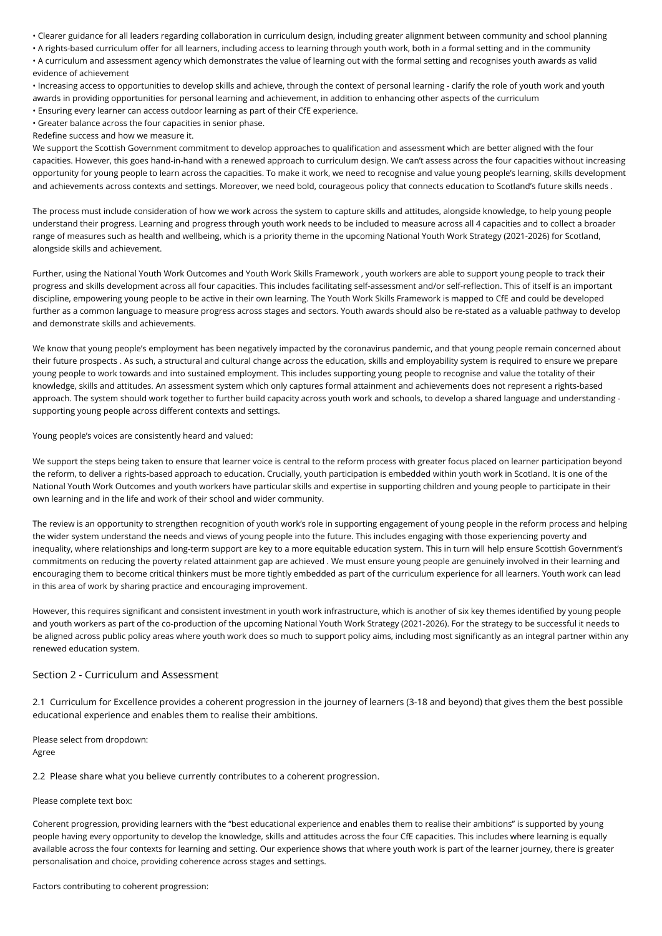• Clearer guidance for all leaders regarding collaboration in curriculum design, including greater alignment between community and school planning

• A rights-based curriculum offer for all learners, including access to learning through youth work, both in a formal setting and in the community • A curriculum and assessment agency which demonstrates the value of learning out with the formal setting and recognises youth awards as valid evidence of achievement

• Increasing access to opportunities to develop skills and achieve, through the context of personal learning - clarify the role of youth work and youth awards in providing opportunities for personal learning and achievement, in addition to enhancing other aspects of the curriculum • Ensuring every learner can access outdoor learning as part of their CfE experience.

• Greater balance across the four capacities in senior phase.

Redefine success and how we measure it.

We support the Scottish Government commitment to develop approaches to qualification and assessment which are better aligned with the four capacities. However, this goes hand-in-hand with a renewed approach to curriculum design. We can't assess across the four capacities without increasing opportunity for young people to learn across the capacities. To make it work, we need to recognise and value young people's learning, skills development and achievements across contexts and settings. Moreover, we need bold, courageous policy that connects education to Scotland's future skills needs .

The process must include consideration of how we work across the system to capture skills and attitudes, alongside knowledge, to help young people understand their progress. Learning and progress through youth work needs to be included to measure across all 4 capacities and to collect a broader range of measures such as health and wellbeing, which is a priority theme in the upcoming National Youth Work Strategy (2021-2026) for Scotland, alongside skills and achievement.

Further, using the National Youth Work Outcomes and Youth Work Skills Framework , youth workers are able to support young people to track their progress and skills development across all four capacities. This includes facilitating self-assessment and/or self-reflection. This of itself is an important discipline, empowering young people to be active in their own learning. The Youth Work Skills Framework is mapped to CfE and could be developed further as a common language to measure progress across stages and sectors. Youth awards should also be re-stated as a valuable pathway to develop and demonstrate skills and achievements.

We know that young people's employment has been negatively impacted by the coronavirus pandemic, and that young people remain concerned about their future prospects . As such, a structural and cultural change across the education, skills and employability system is required to ensure we prepare young people to work towards and into sustained employment. This includes supporting young people to recognise and value the totality of their knowledge, skills and attitudes. An assessment system which only captures formal attainment and achievements does not represent a rights-based approach. The system should work together to further build capacity across youth work and schools, to develop a shared language and understanding supporting young people across different contexts and settings.

Young people's voices are consistently heard and valued:

We support the steps being taken to ensure that learner voice is central to the reform process with greater focus placed on learner participation beyond the reform, to deliver a rights-based approach to education. Crucially, youth participation is embedded within youth work in Scotland. It is one of the National Youth Work Outcomes and youth workers have particular skills and expertise in supporting children and young people to participate in their own learning and in the life and work of their school and wider community.

The review is an opportunity to strengthen recognition of youth work's role in supporting engagement of young people in the reform process and helping the wider system understand the needs and views of young people into the future. This includes engaging with those experiencing poverty and inequality, where relationships and long-term support are key to a more equitable education system. This in turn will help ensure Scottish Government's commitments on reducing the poverty related attainment gap are achieved . We must ensure young people are genuinely involved in their learning and encouraging them to become critical thinkers must be more tightly embedded as part of the curriculum experience for all learners. Youth work can lead in this area of work by sharing practice and encouraging improvement.

However, this requires significant and consistent investment in youth work infrastructure, which is another of six key themes identified by young people and youth workers as part of the co-production of the upcoming National Youth Work Strategy (2021-2026). For the strategy to be successful it needs to be aligned across public policy areas where youth work does so much to support policy aims, including most significantly as an integral partner within any renewed education system.

# Section 2 - Curriculum and Assessment

2.1 Curriculum for Excellence provides a coherent progression in the journey of learners (3-18 and beyond) that gives them the best possible educational experience and enables them to realise their ambitions.

Please select from dropdown: Agree

2.2 Please share what you believe currently contributes to a coherent progression.

### Please complete text box:

Coherent progression, providing learners with the "best educational experience and enables them to realise their ambitions" is supported by young people having every opportunity to develop the knowledge, skills and attitudes across the four CfE capacities. This includes where learning is equally available across the four contexts for learning and setting. Our experience shows that where youth work is part of the learner journey, there is greater personalisation and choice, providing coherence across stages and settings.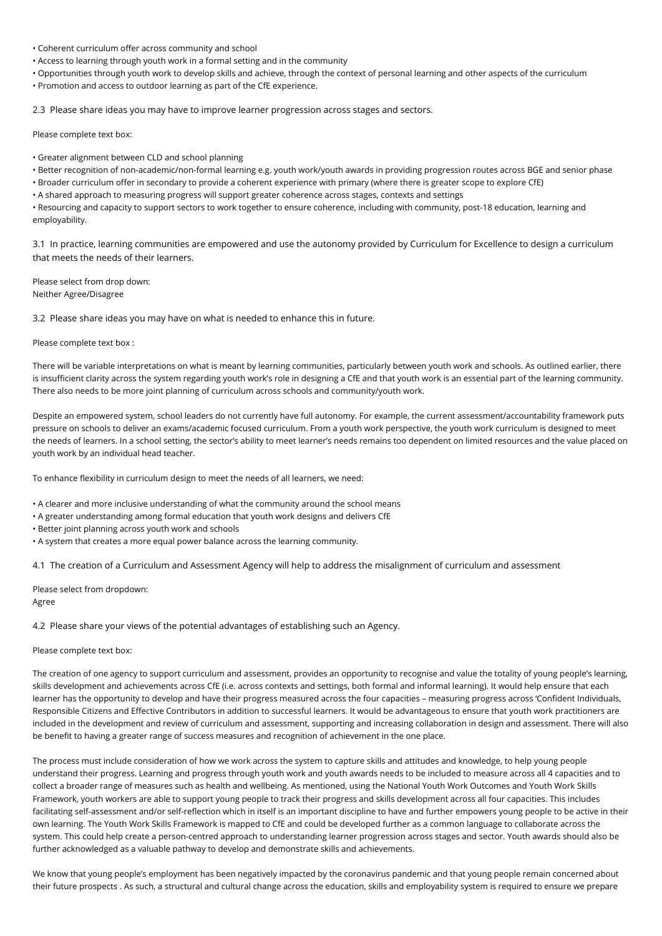- Coherent curriculum offer across community and school
- Access to learning through youth work in a formal setting and in the community
- Opportunities through youth work to develop skills and achieve, through the context of personal learning and other aspects of the curriculum
- Promotion and access to outdoor learning as part of the CfE experience.

2.3 Please share ideas you may have to improve learner progression across stages and sectors.

Please complete text box:

- Greater alignment between CLD and school planning
- Better recognition of non-academic/non-formal learning e.g. youth work/youth awards in providing progression routes across BGE and senior phase
- Broader curriculum offer in secondary to provide a coherent experience with primary (where there is greater scope to explore CfE)
- A shared approach to measuring progress will support greater coherence across stages, contexts and settings

• Resourcing and capacity to support sectors to work together to ensure coherence, including with community, post-18 education, learning and employability.

3.1 In practice, learning communities are empowered and use the autonomy provided by Curriculum for Excellence to design a curriculum that meets the needs of their learners.

Please select from drop down: Neither Agree/Disagree

3.2 Please share ideas you may have on what is needed to enhance this in future.

#### Please complete text box :

There will be variable interpretations on what is meant by learning communities, particularly between youth work and schools. As outlined earlier, there is insufficient clarity across the system regarding youth work's role in designing a CfE and that youth work is an essential part of the learning community. There also needs to be more joint planning of curriculum across schools and community/youth work.

Despite an empowered system, school leaders do not currently have full autonomy. For example, the current assessment/accountability framework puts pressure on schools to deliver an exams/academic focused curriculum. From a youth work perspective, the youth work curriculum is designed to meet the needs of learners. In a school setting, the sector's ability to meet learner's needs remains too dependent on limited resources and the value placed on youth work by an individual head teacher.

To enhance flexibility in curriculum design to meet the needs of all learners, we need:

- A clearer and more inclusive understanding of what the community around the school means
- A greater understanding among formal education that youth work designs and delivers CfE
- Better joint planning across youth work and schools
- A system that creates a more equal power balance across the learning community.

4.1 The creation of a Curriculum and Assessment Agency will help to address the misalignment of curriculum and assessment

Please select from dropdown: Agree

4.2 Please share your views of the potential advantages of establishing such an Agency.

#### Please complete text box:

The creation of one agency to support curriculum and assessment, provides an opportunity to recognise and value the totality of young people's learning, skills development and achievements across CfE (i.e. across contexts and settings, both formal and informal learning). It would help ensure that each learner has the opportunity to develop and have their progress measured across the four capacities – measuring progress across 'Confident Individuals, Responsible Citizens and Effective Contributors in addition to successful learners. It would be advantageous to ensure that youth work practitioners are included in the development and review of curriculum and assessment, supporting and increasing collaboration in design and assessment. There will also be benefit to having a greater range of success measures and recognition of achievement in the one place.

The process must include consideration of how we work across the system to capture skills and attitudes and knowledge, to help young people understand their progress. Learning and progress through youth work and youth awards needs to be included to measure across all 4 capacities and to collect a broader range of measures such as health and wellbeing. As mentioned, using the National Youth Work Outcomes and Youth Work Skills Framework, youth workers are able to support young people to track their progress and skills development across all four capacities. This includes facilitating self-assessment and/or self-reflection which in itself is an important discipline to have and further empowers young people to be active in their own learning. The Youth Work Skills Framework is mapped to CfE and could be developed further as a common language to collaborate across the system. This could help create a person-centred approach to understanding learner progression across stages and sector. Youth awards should also be further acknowledged as a valuable pathway to develop and demonstrate skills and achievements.

We know that young people's employment has been negatively impacted by the coronavirus pandemic and that young people remain concerned about their future prospects . As such, a structural and cultural change across the education, skills and employability system is required to ensure we prepare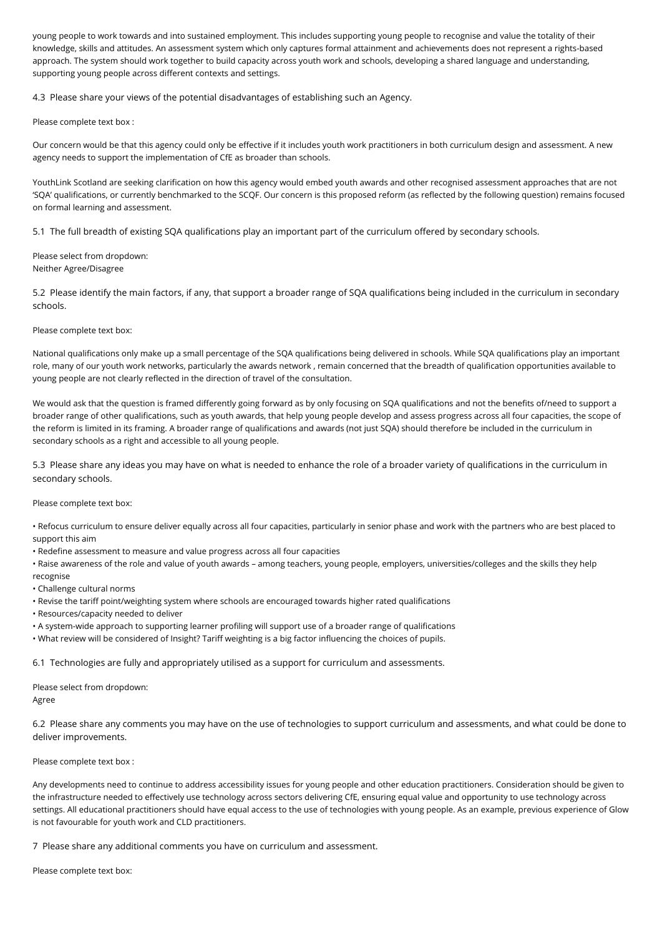young people to work towards and into sustained employment. This includes supporting young people to recognise and value the totality of their knowledge, skills and attitudes. An assessment system which only captures formal attainment and achievements does not represent a rights-based approach. The system should work together to build capacity across youth work and schools, developing a shared language and understanding, supporting young people across different contexts and settings.

4.3 Please share your views of the potential disadvantages of establishing such an Agency.

Please complete text box :

Our concern would be that this agency could only be effective if it includes youth work practitioners in both curriculum design and assessment. A new agency needs to support the implementation of CfE as broader than schools.

YouthLink Scotland are seeking clarification on how this agency would embed youth awards and other recognised assessment approaches that are not 'SQA' qualifications, or currently benchmarked to the SCQF. Our concern is this proposed reform (as reflected by the following question) remains focused on formal learning and assessment.

5.1 The full breadth of existing SQA qualifications play an important part of the curriculum offered by secondary schools.

Please select from dropdown: Neither Agree/Disagree

5.2 Please identify the main factors, if any, that support a broader range of SQA qualifications being included in the curriculum in secondary schools.

# Please complete text box:

National qualifications only make up a small percentage of the SQA qualifications being delivered in schools. While SQA qualifications play an important role, many of our youth work networks, particularly the awards network , remain concerned that the breadth of qualification opportunities available to young people are not clearly reflected in the direction of travel of the consultation.

We would ask that the question is framed differently going forward as by only focusing on SQA qualifications and not the benefits of/need to support a broader range of other qualifications, such as youth awards, that help young people develop and assess progress across all four capacities, the scope of the reform is limited in its framing. A broader range of qualifications and awards (not just SQA) should therefore be included in the curriculum in secondary schools as a right and accessible to all young people.

5.3 Please share any ideas you may have on what is needed to enhance the role of a broader variety of qualifications in the curriculum in secondary schools.

### Please complete text box:

• Refocus curriculum to ensure deliver equally across all four capacities, particularly in senior phase and work with the partners who are best placed to support this aim

• Redefine assessment to measure and value progress across all four capacities

• Raise awareness of the role and value of youth awards – among teachers, young people, employers, universities/colleges and the skills they help recognise

- Challenge cultural norms
- Revise the tariff point/weighting system where schools are encouraged towards higher rated qualifications
- Resources/capacity needed to deliver
- A system-wide approach to supporting learner profiling will support use of a broader range of qualifications
- What review will be considered of Insight? Tariff weighting is a big factor influencing the choices of pupils.

6.1 Technologies are fully and appropriately utilised as a support for curriculum and assessments.

Please select from dropdown: Agree

6.2 Please share any comments you may have on the use of technologies to support curriculum and assessments, and what could be done to deliver improvements.

# Please complete text box :

Any developments need to continue to address accessibility issues for young people and other education practitioners. Consideration should be given to the infrastructure needed to effectively use technology across sectors delivering CfE, ensuring equal value and opportunity to use technology across settings. All educational practitioners should have equal access to the use of technologies with young people. As an example, previous experience of Glow is not favourable for youth work and CLD practitioners.

7 Please share any additional comments you have on curriculum and assessment.

Please complete text box: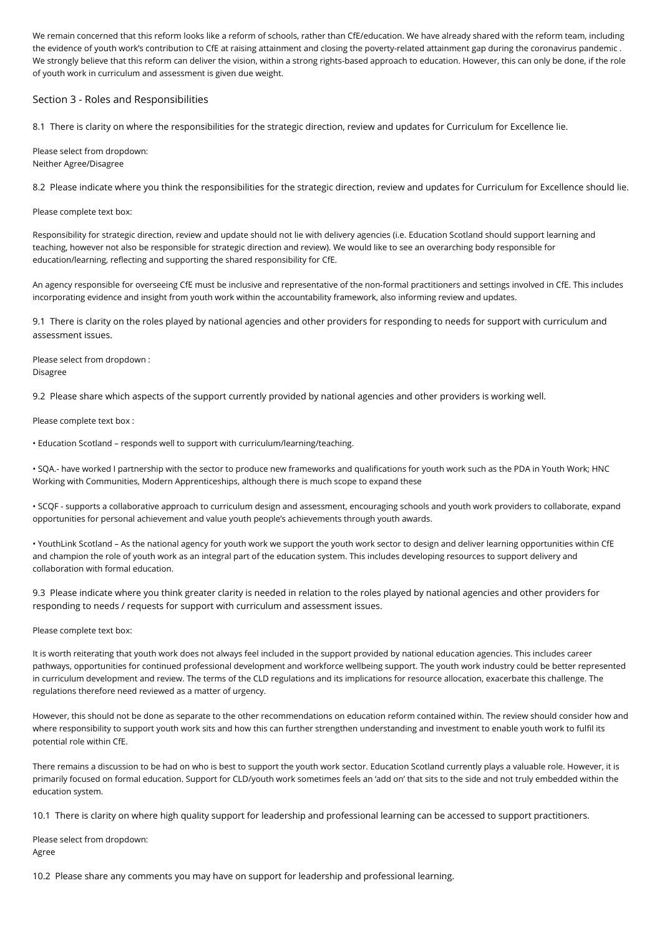We remain concerned that this reform looks like a reform of schools, rather than CfE/education. We have already shared with the reform team, including the evidence of youth work's contribution to CfE at raising attainment and closing the poverty-related attainment gap during the coronavirus pandemic . We strongly believe that this reform can deliver the vision, within a strong rights-based approach to education. However, this can only be done, if the role of youth work in curriculum and assessment is given due weight.

# Section 3 - Roles and Responsibilities

8.1 There is clarity on where the responsibilities for the strategic direction, review and updates for Curriculum for Excellence lie.

Please select from dropdown: Neither Agree/Disagree

8.2 Please indicate where you think the responsibilities for the strategic direction, review and updates for Curriculum for Excellence should lie.

Please complete text box:

Responsibility for strategic direction, review and update should not lie with delivery agencies (i.e. Education Scotland should support learning and teaching, however not also be responsible for strategic direction and review). We would like to see an overarching body responsible for education/learning, reflecting and supporting the shared responsibility for CfE.

An agency responsible for overseeing CfE must be inclusive and representative of the non-formal practitioners and settings involved in CfE. This includes incorporating evidence and insight from youth work within the accountability framework, also informing review and updates.

9.1 There is clarity on the roles played by national agencies and other providers for responding to needs for support with curriculum and assessment issues.

Please select from dropdown : Disagree

9.2 Please share which aspects of the support currently provided by national agencies and other providers is working well.

Please complete text box :

• Education Scotland – responds well to support with curriculum/learning/teaching.

• SQA.- have worked I partnership with the sector to produce new frameworks and qualifications for youth work such as the PDA in Youth Work; HNC Working with Communities, Modern Apprenticeships, although there is much scope to expand these

• SCQF - supports a collaborative approach to curriculum design and assessment, encouraging schools and youth work providers to collaborate, expand opportunities for personal achievement and value youth people's achievements through youth awards.

• YouthLink Scotland – As the national agency for youth work we support the youth work sector to design and deliver learning opportunities within CfE and champion the role of youth work as an integral part of the education system. This includes developing resources to support delivery and collaboration with formal education.

9.3 Please indicate where you think greater clarity is needed in relation to the roles played by national agencies and other providers for responding to needs / requests for support with curriculum and assessment issues.

Please complete text box:

It is worth reiterating that youth work does not always feel included in the support provided by national education agencies. This includes career pathways, opportunities for continued professional development and workforce wellbeing support. The youth work industry could be better represented in curriculum development and review. The terms of the CLD regulations and its implications for resource allocation, exacerbate this challenge. The regulations therefore need reviewed as a matter of urgency.

However, this should not be done as separate to the other recommendations on education reform contained within. The review should consider how and where responsibility to support youth work sits and how this can further strengthen understanding and investment to enable youth work to fulfil its potential role within CfE.

There remains a discussion to be had on who is best to support the youth work sector. Education Scotland currently plays a valuable role. However, it is primarily focused on formal education. Support for CLD/youth work sometimes feels an 'add on' that sits to the side and not truly embedded within the education system.

10.1 There is clarity on where high quality support for leadership and professional learning can be accessed to support practitioners.

Please select from dropdown: Agree

10.2 Please share any comments you may have on support for leadership and professional learning.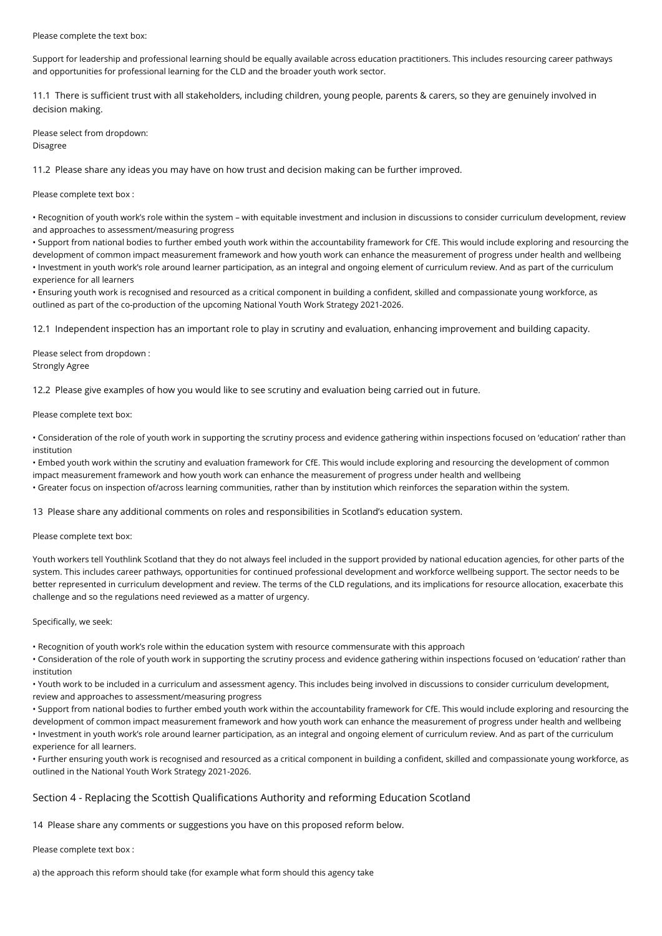### Please complete the text box:

Support for leadership and professional learning should be equally available across education practitioners. This includes resourcing career pathways and opportunities for professional learning for the CLD and the broader youth work sector.

11.1 There is sufficient trust with all stakeholders, including children, young people, parents & carers, so they are genuinely involved in decision making.

Please select from dropdown: Disagree

11.2 Please share any ideas you may have on how trust and decision making can be further improved.

Please complete text box :

• Recognition of youth work's role within the system – with equitable investment and inclusion in discussions to consider curriculum development, review and approaches to assessment/measuring progress

• Support from national bodies to further embed youth work within the accountability framework for CfE. This would include exploring and resourcing the development of common impact measurement framework and how youth work can enhance the measurement of progress under health and wellbeing • Investment in youth work's role around learner participation, as an integral and ongoing element of curriculum review. And as part of the curriculum experience for all learners

• Ensuring youth work is recognised and resourced as a critical component in building a confident, skilled and compassionate young workforce, as outlined as part of the co-production of the upcoming National Youth Work Strategy 2021-2026.

12.1 Independent inspection has an important role to play in scrutiny and evaluation, enhancing improvement and building capacity.

Please select from dropdown : Strongly Agree

12.2 Please give examples of how you would like to see scrutiny and evaluation being carried out in future.

# Please complete text box:

• Consideration of the role of youth work in supporting the scrutiny process and evidence gathering within inspections focused on 'education' rather than institution

• Embed youth work within the scrutiny and evaluation framework for CfE. This would include exploring and resourcing the development of common impact measurement framework and how youth work can enhance the measurement of progress under health and wellbeing • Greater focus on inspection of/across learning communities, rather than by institution which reinforces the separation within the system.

13 Please share any additional comments on roles and responsibilities in Scotland's education system.

### Please complete text box:

Youth workers tell Youthlink Scotland that they do not always feel included in the support provided by national education agencies, for other parts of the system. This includes career pathways, opportunities for continued professional development and workforce wellbeing support. The sector needs to be better represented in curriculum development and review. The terms of the CLD regulations, and its implications for resource allocation, exacerbate this challenge and so the regulations need reviewed as a matter of urgency.

### Specifically, we seek:

• Recognition of youth work's role within the education system with resource commensurate with this approach

• Consideration of the role of youth work in supporting the scrutiny process and evidence gathering within inspections focused on 'education' rather than institution

• Youth work to be included in a curriculum and assessment agency. This includes being involved in discussions to consider curriculum development, review and approaches to assessment/measuring progress

• Support from national bodies to further embed youth work within the accountability framework for CfE. This would include exploring and resourcing the development of common impact measurement framework and how youth work can enhance the measurement of progress under health and wellbeing • Investment in youth work's role around learner participation, as an integral and ongoing element of curriculum review. And as part of the curriculum experience for all learners.

• Further ensuring youth work is recognised and resourced as a critical component in building a confident, skilled and compassionate young workforce, as outlined in the National Youth Work Strategy 2021-2026.

# Section 4 - Replacing the Scottish Qualifications Authority and reforming Education Scotland

14 Please share any comments or suggestions you have on this proposed reform below.

Please complete text box :

a) the approach this reform should take (for example what form should this agency take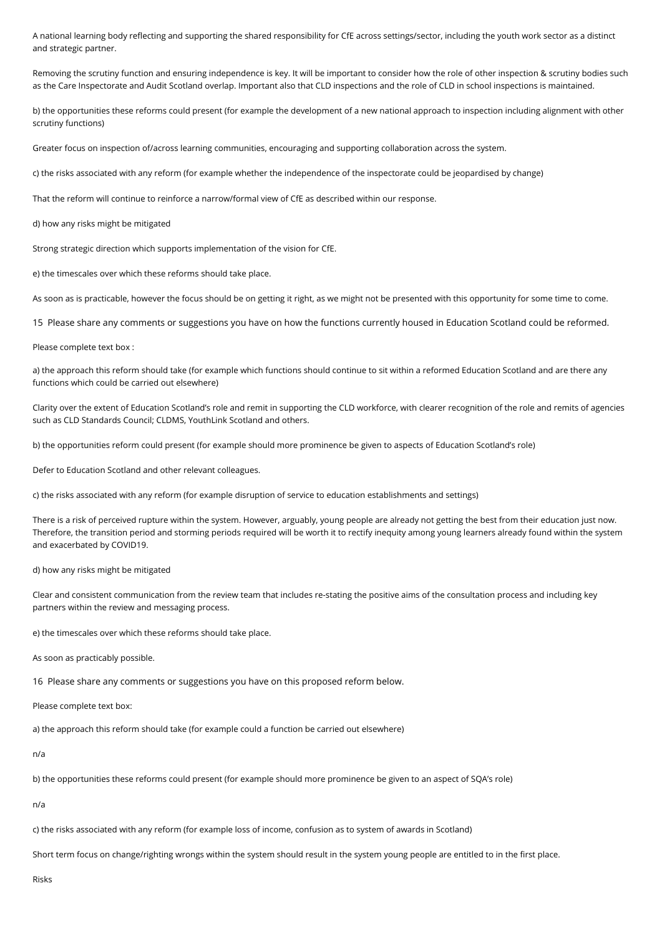A national learning body reflecting and supporting the shared responsibility for CfE across settings/sector, including the youth work sector as a distinct and strategic partner.

Removing the scrutiny function and ensuring independence is key. It will be important to consider how the role of other inspection & scrutiny bodies such as the Care Inspectorate and Audit Scotland overlap. Important also that CLD inspections and the role of CLD in school inspections is maintained.

b) the opportunities these reforms could present (for example the development of a new national approach to inspection including alignment with other scrutiny functions)

Greater focus on inspection of/across learning communities, encouraging and supporting collaboration across the system.

c) the risks associated with any reform (for example whether the independence of the inspectorate could be jeopardised by change)

That the reform will continue to reinforce a narrow/formal view of CfE as described within our response.

d) how any risks might be mitigated

Strong strategic direction which supports implementation of the vision for CfE.

e) the timescales over which these reforms should take place.

As soon as is practicable, however the focus should be on getting it right, as we might not be presented with this opportunity for some time to come.

15 Please share any comments or suggestions you have on how the functions currently housed in Education Scotland could be reformed.

Please complete text box :

a) the approach this reform should take (for example which functions should continue to sit within a reformed Education Scotland and are there any functions which could be carried out elsewhere)

Clarity over the extent of Education Scotland's role and remit in supporting the CLD workforce, with clearer recognition of the role and remits of agencies such as CLD Standards Council; CLDMS, YouthLink Scotland and others.

b) the opportunities reform could present (for example should more prominence be given to aspects of Education Scotland's role)

Defer to Education Scotland and other relevant colleagues.

c) the risks associated with any reform (for example disruption of service to education establishments and settings)

There is a risk of perceived rupture within the system. However, arguably, young people are already not getting the best from their education just now. Therefore, the transition period and storming periods required will be worth it to rectify inequity among young learners already found within the system and exacerbated by COVID19.

### d) how any risks might be mitigated

Clear and consistent communication from the review team that includes re-stating the positive aims of the consultation process and including key partners within the review and messaging process.

e) the timescales over which these reforms should take place.

As soon as practicably possible.

16 Please share any comments or suggestions you have on this proposed reform below.

Please complete text box:

a) the approach this reform should take (for example could a function be carried out elsewhere)

n/a

b) the opportunities these reforms could present (for example should more prominence be given to an aspect of SQA's role)

n/a

c) the risks associated with any reform (for example loss of income, confusion as to system of awards in Scotland)

Short term focus on change/righting wrongs within the system should result in the system young people are entitled to in the first place.

Risks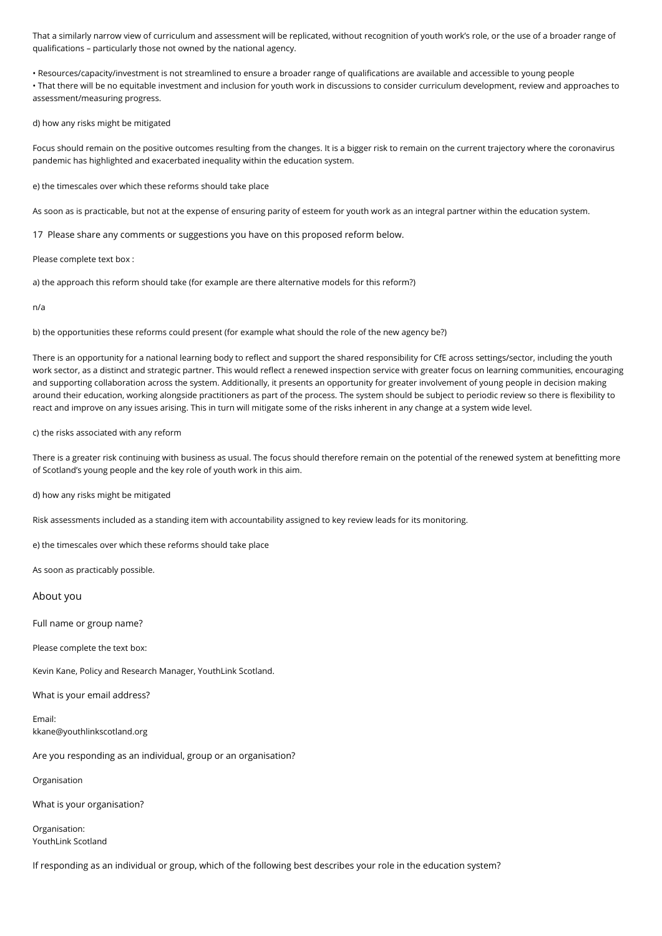That a similarly narrow view of curriculum and assessment will be replicated, without recognition of youth work's role, or the use of a broader range of qualifications – particularly those not owned by the national agency.

• Resources/capacity/investment is not streamlined to ensure a broader range of qualifications are available and accessible to young people • That there will be no equitable investment and inclusion for youth work in discussions to consider curriculum development, review and approaches to assessment/measuring progress.

d) how any risks might be mitigated

Focus should remain on the positive outcomes resulting from the changes. It is a bigger risk to remain on the current trajectory where the coronavirus pandemic has highlighted and exacerbated inequality within the education system.

e) the timescales over which these reforms should take place

As soon as is practicable, but not at the expense of ensuring parity of esteem for youth work as an integral partner within the education system.

17 Please share any comments or suggestions you have on this proposed reform below.

Please complete text box :

a) the approach this reform should take (for example are there alternative models for this reform?)

n/a

b) the opportunities these reforms could present (for example what should the role of the new agency be?)

There is an opportunity for a national learning body to reflect and support the shared responsibility for CfE across settings/sector, including the youth work sector, as a distinct and strategic partner. This would reflect a renewed inspection service with greater focus on learning communities, encouraging and supporting collaboration across the system. Additionally, it presents an opportunity for greater involvement of young people in decision making around their education, working alongside practitioners as part of the process. The system should be subject to periodic review so there is flexibility to react and improve on any issues arising. This in turn will mitigate some of the risks inherent in any change at a system wide level.

c) the risks associated with any reform

There is a greater risk continuing with business as usual. The focus should therefore remain on the potential of the renewed system at benefitting more of Scotland's young people and the key role of youth work in this aim.

d) how any risks might be mitigated

Risk assessments included as a standing item with accountability assigned to key review leads for its monitoring.

e) the timescales over which these reforms should take place

As soon as practicably possible.

About you

Full name or group name?

Please complete the text box:

Kevin Kane, Policy and Research Manager, YouthLink Scotland.

What is your email address?

Email: kkane@youthlinkscotland.org

Are you responding as an individual, group or an organisation?

Organisation

What is your organisation?

Organisation: YouthLink Scotland

If responding as an individual or group, which of the following best describes your role in the education system?